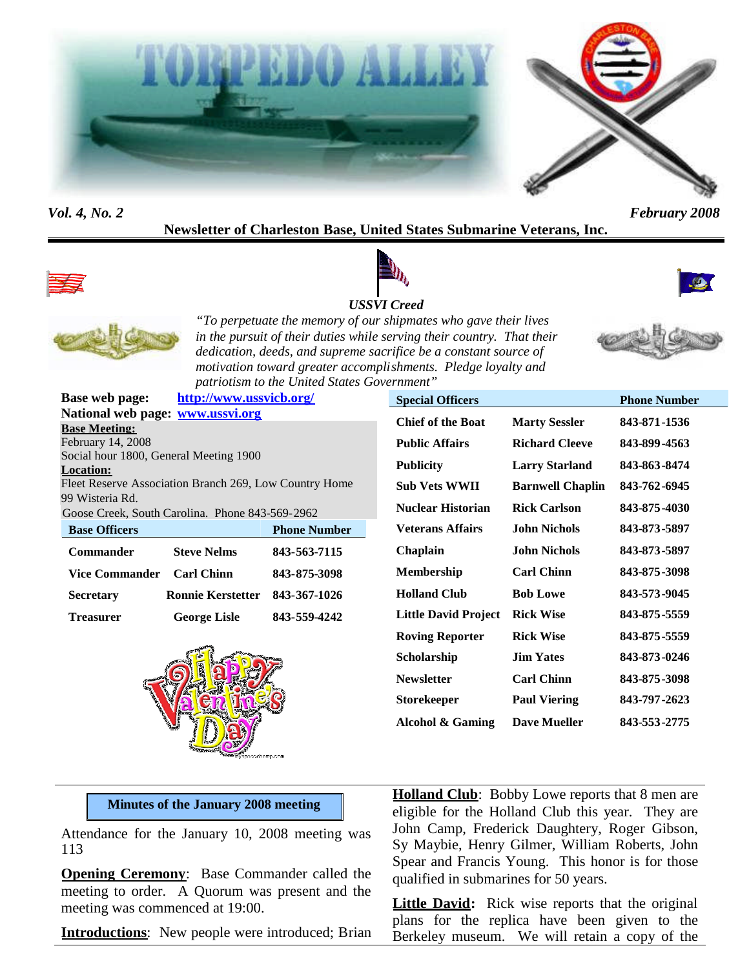

#### *Vol. 4, No. 2 February 2008*

# **Newsletter of Charleston Base, United States Submarine Veterans, Inc.**





#### *USSVI Creed*





*"To perpetuate the memory of our shipmates who gave their lives in the pursuit of their duties while serving their country. That their dedication, deeds, and supreme sacrifice be a constant source of motivation toward greater accomplishments. Pledge loyalty and patriotism to the United States Government"*



|                                                        | Base web page: http://www.ussvicb.org/ |                     |  |  |
|--------------------------------------------------------|----------------------------------------|---------------------|--|--|
|                                                        | National web page: www.ussvi.org       |                     |  |  |
| <b>Base Meeting:</b>                                   |                                        |                     |  |  |
| February 14, 2008                                      |                                        |                     |  |  |
| Social hour 1800, General Meeting 1900                 |                                        |                     |  |  |
| <b>Location:</b>                                       |                                        |                     |  |  |
| Fleet Reserve Association Branch 269, Low Country Home |                                        |                     |  |  |
| 99 Wisteria Rd.                                        |                                        |                     |  |  |
| Goose Creek, South Carolina. Phone 843-569-2962        |                                        |                     |  |  |
| <b>Base Officers</b>                                   |                                        | <b>Phone Number</b> |  |  |
| <b>Commander</b>                                       | <b>Steve Nelms</b>                     | 843-563-7115        |  |  |
| Vice Commander Carl Chinn                              |                                        | 843-875-3098        |  |  |
| Secretarv                                              | Ronnie Kerstetter                      | 843-367-1026        |  |  |



**Treasurer George Lisle 843-559-4242**

| <b>Special Officers</b>     |                         | <b>Phone Number</b> |
|-----------------------------|-------------------------|---------------------|
| <b>Chief of the Boat</b>    | <b>Marty Sessler</b>    | 843-871-1536        |
| <b>Public Affairs</b>       | <b>Richard Cleeve</b>   | 843-899-4563        |
| <b>Publicity</b>            | <b>Larry Starland</b>   | 843-863-8474        |
| <b>Sub Vets WWII</b>        | <b>Barnwell Chaplin</b> | 843-762-6945        |
| <b>Nuclear Historian</b>    | <b>Rick Carlson</b>     | 843-875-4030        |
| <b>Veterans Affairs</b>     | John Nichols            | 843-873-5897        |
| Chaplain                    | John Nichols            | 843-873-5897        |
| <b>Membership</b>           | <b>Carl Chinn</b>       | 843-875-3098        |
| <b>Holland Club</b>         | <b>Bob Lowe</b>         | 843-573-9045        |
| <b>Little David Project</b> | <b>Rick Wise</b>        | 843-875-5559        |
| <b>Roving Reporter</b>      | <b>Rick Wise</b>        | 843-875-5559        |
| Scholarship                 | <b>Jim Yates</b>        | 843-873-0246        |
| <b>Newsletter</b>           | <b>Carl Chinn</b>       | 843-875-3098        |
| <b>Storekeeper</b>          | <b>Paul Viering</b>     | 843-797-2623        |
| Alcohol & Gaming            | <b>Dave Mueller</b>     | 843-553-2775        |

#### **Minutes of the January 2008 meeting**

Attendance for the January 10, 2008 meeting was 113

**Opening Ceremony**: Base Commander called the meeting to order. A Quorum was present and the meeting was commenced at 19:00.

**Introductions**: New people were introduced; Brian

**Holland Club**: Bobby Lowe reports that 8 men are eligible for the Holland Club this year. They are John Camp, Frederick Daughtery, Roger Gibson, Sy Maybie, Henry Gilmer, William Roberts, John Spear and Francis Young. This honor is for those qualified in submarines for 50 years.

**Little David:** Rick wise reports that the original plans for the replica have been given to the Berkeley museum. We will retain a copy of the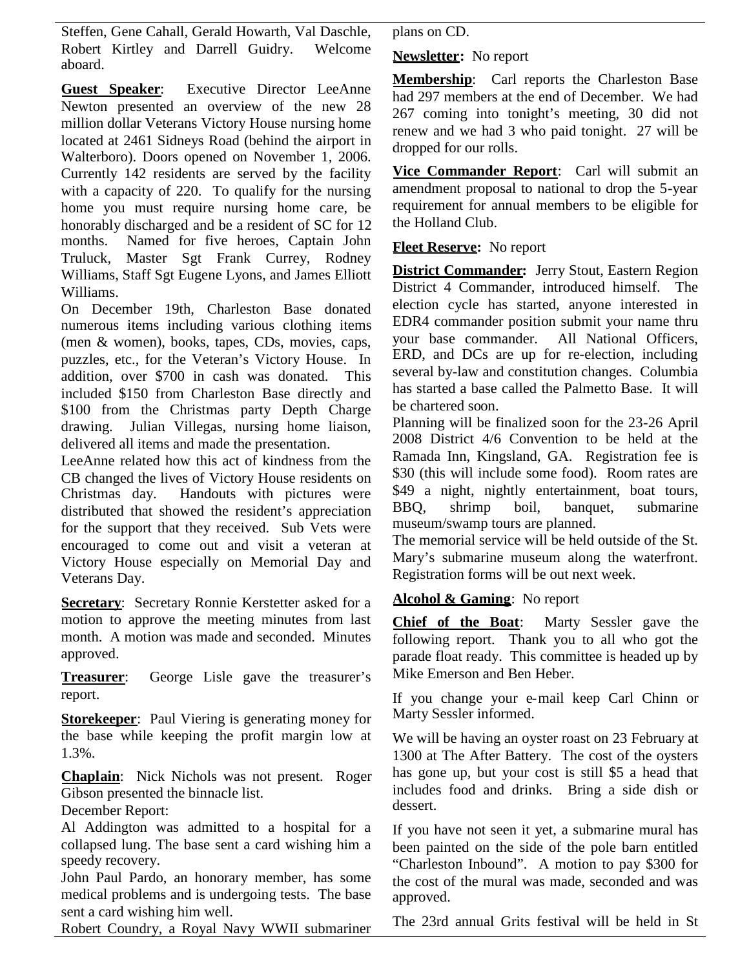Steffen, Gene Cahall, Gerald Howarth, Val Daschle, Robert Kirtley and Darrell Guidry. Welcome aboard.

**Guest Speaker**: Executive Director LeeAnne Newton presented an overview of the new 28 million dollar Veterans Victory House nursing home located at 2461 Sidneys Road (behind the airport in Walterboro). Doors opened on November 1, 2006. Currently 142 residents are served by the facility with a capacity of 220. To qualify for the nursing home you must require nursing home care, be honorably discharged and be a resident of SC for 12 months. Named for five heroes, Captain John Truluck, Master Sgt Frank Currey, Rodney Williams, Staff Sgt Eugene Lyons, and James Elliott Williams.

On December 19th, Charleston Base donated numerous items including various clothing items (men & women), books, tapes, CDs, movies, caps, puzzles, etc., for the Veteran's Victory House. In addition, over \$700 in cash was donated. This included \$150 from Charleston Base directly and \$100 from the Christmas party Depth Charge drawing. Julian Villegas, nursing home liaison, delivered all items and made the presentation.

LeeAnne related how this act of kindness from the CB changed the lives of Victory House residents on Christmas day. Handouts with pictures were distributed that showed the resident's appreciation for the support that they received. Sub Vets were encouraged to come out and visit a veteran at Victory House especially on Memorial Day and Veterans Day.

**Secretary**: Secretary Ronnie Kerstetter asked for a motion to approve the meeting minutes from last month. A motion was made and seconded. Minutes approved.

**Treasurer**: George Lisle gave the treasurer's report.

**Storekeeper**: Paul Viering is generating money for the base while keeping the profit margin low at 1.3%.

**Chaplain**: Nick Nichols was not present. Roger Gibson presented the binnacle list.

December Report:

Al Addington was admitted to a hospital for a collapsed lung. The base sent a card wishing him a speedy recovery.

John Paul Pardo, an honorary member, has some medical problems and is undergoing tests. The base sent a card wishing him well.

Robert Coundry, a Royal Navy WWII submariner

plans on CD.

**Newsletter:** No report

**Membership**: Carl reports the Charleston Base had 297 members at the end of December. We had 267 coming into tonight's meeting, 30 did not renew and we had 3 who paid tonight. 27 will be dropped for our rolls.

**Vice Commander Report**: Carl will submit an amendment proposal to national to drop the 5-year requirement for annual members to be eligible for the Holland Club.

**Fleet Reserve:** No report

**District Commander:** Jerry Stout, Eastern Region District 4 Commander, introduced himself. The election cycle has started, anyone interested in EDR4 commander position submit your name thru your base commander. All National Officers, ERD, and DCs are up for re-election, including several by-law and constitution changes. Columbia has started a base called the Palmetto Base. It will be chartered soon.

Planning will be finalized soon for the 23-26 April 2008 District 4/6 Convention to be held at the Ramada Inn, Kingsland, GA. Registration fee is \$30 (this will include some food). Room rates are \$49 a night, nightly entertainment, boat tours, BBQ, shrimp boil, banquet, submarine museum/swamp tours are planned.

The memorial service will be held outside of the St. Mary's submarine museum along the waterfront. Registration forms will be out next week.

# **Alcohol & Gaming**: No report

**Chief of the Boat**: Marty Sessler gave the following report. Thank you to all who got the parade float ready. This committee is headed up by Mike Emerson and Ben Heber.

If you change your e-mail keep Carl Chinn or Marty Sessler informed.

We will be having an oyster roast on 23 February at 1300 at The After Battery. The cost of the oysters has gone up, but your cost is still \$5 a head that includes food and drinks. Bring a side dish or dessert.

If you have not seen it yet, a submarine mural has been painted on the side of the pole barn entitled "Charleston Inbound". A motion to pay \$300 for the cost of the mural was made, seconded and was approved.

The 23rd annual Grits festival will be held in St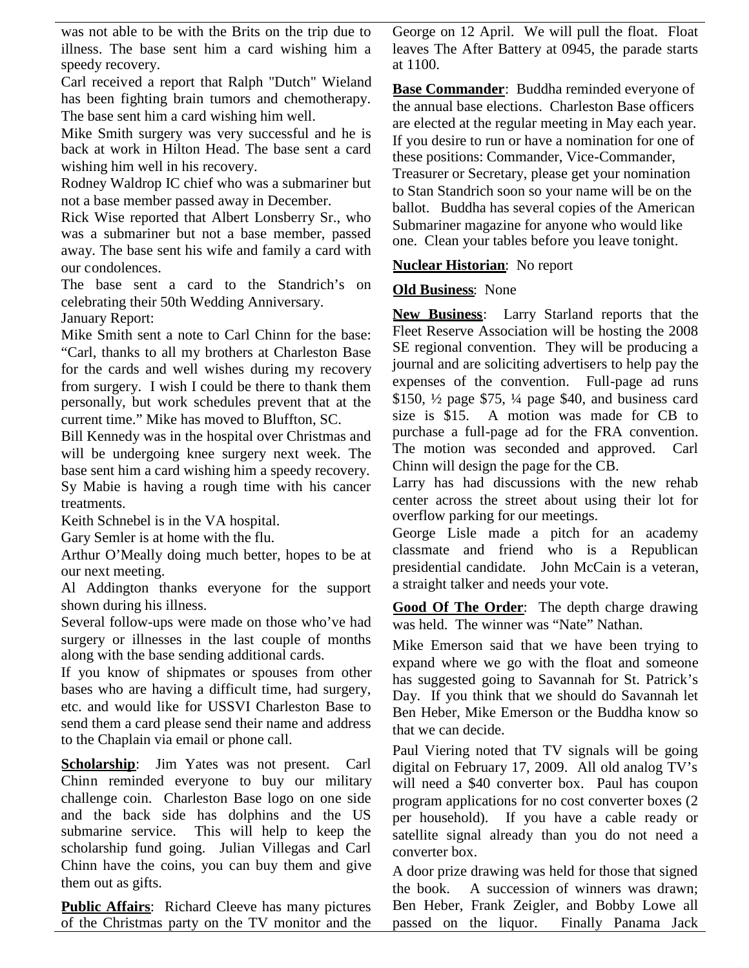was not able to be with the Brits on the trip due to illness. The base sent him a card wishing him a speedy recovery.

Carl received a report that Ralph "Dutch" Wieland has been fighting brain tumors and chemotherapy. The base sent him a card wishing him well.

Mike Smith surgery was very successful and he is back at work in Hilton Head. The base sent a card wishing him well in his recovery.

Rodney Waldrop IC chief who was a submariner but not a base member passed away in December.

Rick Wise reported that Albert Lonsberry Sr., who was a submariner but not a base member, passed away. The base sent his wife and family a card with our condolences.

The base sent a card to the Standrich's on celebrating their 50th Wedding Anniversary. January Report:

Mike Smith sent a note to Carl Chinn for the base: "Carl, thanks to all my brothers at Charleston Base for the cards and well wishes during my recovery from surgery. I wish I could be there to thank them personally, but work schedules prevent that at the current time." Mike has moved to Bluffton, SC.

Bill Kennedy was in the hospital over Christmas and will be undergoing knee surgery next week. The base sent him a card wishing him a speedy recovery. Sy Mabie is having a rough time with his cancer treatments.

Keith Schnebel is in the VA hospital.

Gary Semler is at home with the flu.

Arthur O'Meally doing much better, hopes to be at our next meeting.

Al Addington thanks everyone for the support shown during his illness.

Several follow-ups were made on those who've had surgery or illnesses in the last couple of months along with the base sending additional cards.

If you know of shipmates or spouses from other bases who are having a difficult time, had surgery, etc. and would like for USSVI Charleston Base to send them a card please send their name and address to the Chaplain via email or phone call.

**Scholarship**: Jim Yates was not present. Carl Chinn reminded everyone to buy our military challenge coin. Charleston Base logo on one side and the back side has dolphins and the US submarine service. This will help to keep the scholarship fund going. Julian Villegas and Carl Chinn have the coins, you can buy them and give them out as gifts.

**Public Affairs:** Richard Cleeve has many pictures of the Christmas party on the TV monitor and the George on 12 April. We will pull the float. Float leaves The After Battery at 0945, the parade starts at 1100.

**Base Commander**: Buddha reminded everyone of the annual base elections. Charleston Base officers are elected at the regular meeting in May each year. If you desire to run or have a nomination for one of these positions: Commander, Vice-Commander, Treasurer or Secretary, please get your nomination to Stan Standrich soon so your name will be on the ballot. Buddha has several copies of the American Submariner magazine for anyone who would like one. Clean your tables before you leave tonight.

## **Nuclear Historian**: No report

## **Old Business**: None

**New Business**: Larry Starland reports that the Fleet Reserve Association will be hosting the 2008 SE regional convention. They will be producing a journal and are soliciting advertisers to help pay the expenses of the convention. Full-page ad runs \$150, ½ page \$75, ¼ page \$40, and business card size is \$15. A motion was made for CB to purchase a full-page ad for the FRA convention. The motion was seconded and approved. Carl Chinn will design the page for the CB.

Larry has had discussions with the new rehab center across the street about using their lot for overflow parking for our meetings.

George Lisle made a pitch for an academy classmate and friend who is a Republican presidential candidate. John McCain is a veteran, a straight talker and needs your vote.

**Good Of The Order**: The depth charge drawing was held. The winner was "Nate" Nathan.

Mike Emerson said that we have been trying to expand where we go with the float and someone has suggested going to Savannah for St. Patrick's Day. If you think that we should do Savannah let Ben Heber, Mike Emerson or the Buddha know so that we can decide.

Paul Viering noted that TV signals will be going digital on February 17, 2009. All old analog TV's will need a \$40 converter box. Paul has coupon program applications for no cost converter boxes (2 per household). If you have a cable ready or satellite signal already than you do not need a converter box.

A door prize drawing was held for those that signed the book. A succession of winners was drawn; Ben Heber, Frank Zeigler, and Bobby Lowe all passed on the liquor. Finally Panama Jack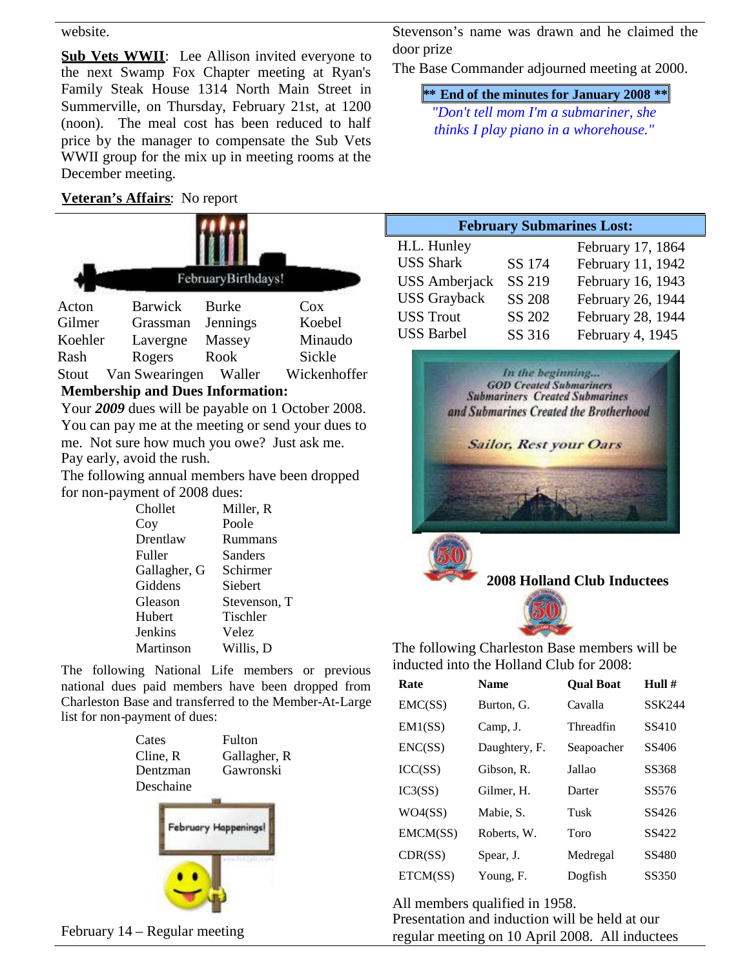#### website.

**Sub Vets WWII**: Lee Allison invited everyone to the next Swamp Fox Chapter meeting at Ryan's Family Steak House 1314 North Main Street in Summerville, on Thursday, February 21st, at 1200 (noon). The meal cost has been reduced to half price by the manager to compensate the Sub Vets WWII group for the mix up in meeting rooms at the December meeting.

# **Veteran's Affairs**: No report



# **Membership and Dues Information:**

Your *2009* dues will be payable on 1 October 2008. You can pay me at the meeting or send your dues to me. Not sure how much you owe? Just ask me. Pay early, avoid the rush.

The following annual members have been dropped for non-payment of 2008 dues:

| Chollet      | Miller, R    |
|--------------|--------------|
|              |              |
| Coy          | Poole        |
| Drentlaw     | Rummans      |
| Fuller       | Sanders      |
| Gallagher, G | Schirmer     |
| Giddens      | Siebert      |
| Gleason      | Stevenson, T |
| Hubert       | Tischler     |
| Jenkins      | Velez        |
| Martinson    | Willis, D    |

The following National Life members or previous national dues paid members have been dropped from Charleston Base and transferred to the Member-At-Large list for non-payment of dues:

| Cates     |                      | Fulton       |
|-----------|----------------------|--------------|
| Cline, R  |                      | Gallagher, R |
| Dentzman  |                      | Gawronski    |
| Deschaine |                      |              |
|           |                      |              |
|           | February Happenings! |              |
|           |                      |              |

Stevenson's name was drawn and he claimed the door prize

The Base Commander adjourned meeting at 2000.

**\*\* End of the minutes for January 2008 \*\***

*"Don't tell mom I'm a submariner, she thinks I play piano in a whorehouse."*

| <b>February Submarines Lost:</b> |               |                   |  |
|----------------------------------|---------------|-------------------|--|
| H.L. Hunley                      |               | February 17, 1864 |  |
| <b>USS Shark</b>                 | SS 174        | February 11, 1942 |  |
| <b>USS</b> Amberjack             | SS 219        | February 16, 1943 |  |
| <b>USS</b> Grayback              | <b>SS 208</b> | February 26, 1944 |  |
| <b>USS Trout</b>                 | SS 202        | February 28, 1944 |  |
| <b>USS Barbel</b>                | SS 316        | February 4, 1945  |  |



The following Charleston Base members will be inducted into the Holland Club for 2008:

| Rate     | <b>Name</b>   | <b>Oual Boat</b> | Hull $#$ |
|----------|---------------|------------------|----------|
| EMC(SS)  | Burton, G.    | Cavalla          | SSK244   |
| EM1(SS)  | Camp, J.      | Threadfin        | SS410    |
| ENC(SS)  | Daughtery, F. | Seapoacher       | SS406    |
| ICC(SS)  | Gibson, R.    | Jallao           | SS368    |
| IC3(SS)  | Gilmer, H.    | Darter           | SS576    |
| WO4(SS)  | Mabie, S.     | Tusk             | SS426    |
| EMCM(SS) | Roberts, W.   | Toro             | SS422    |
| CDR(SS)  | Spear, J.     | Medregal         | SS480    |
| ETCM(SS) | Young, F.     | Dogfish          | SS350    |

All members qualified in 1958. Presentation and induction will be held at our regular meeting on 10 April 2008. All inductees

February 14 – Regular meeting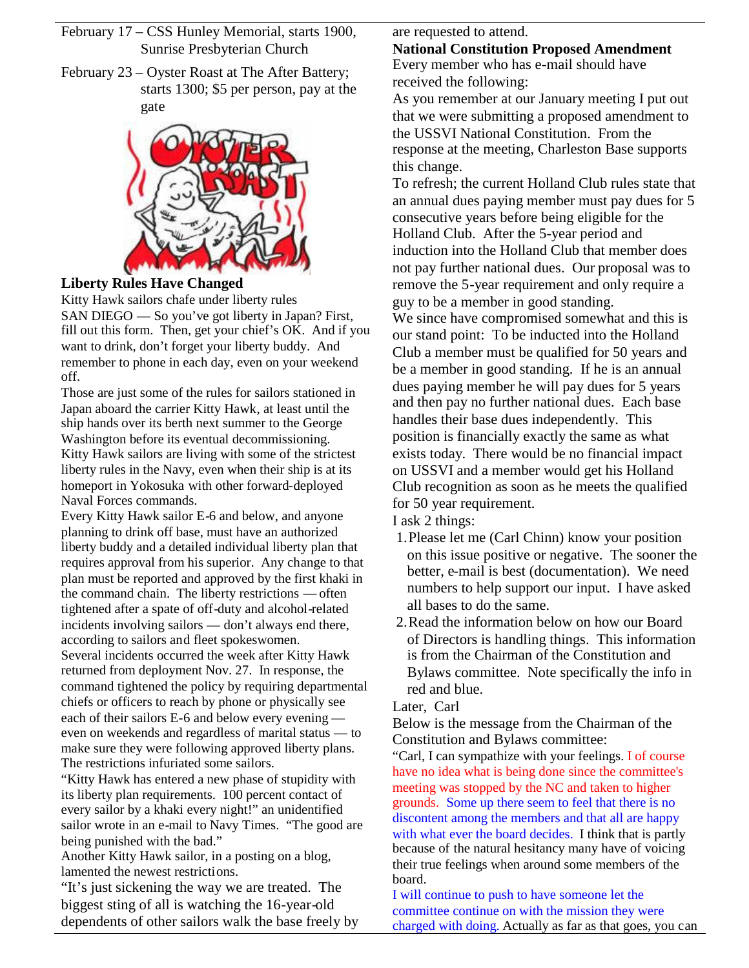February 17 – CSS Hunley Memorial, starts 1900, Sunrise Presbyterian Church

February 23 – Oyster Roast at The After Battery; starts 1300; \$5 per person, pay at the gate



# **Liberty Rules Have Changed**

Kitty Hawk sailors chafe under liberty rules SAN DIEGO — So you've got liberty in Japan? First, fill out this form. Then, get your chief's  $\overrightarrow{OK}$ . And if you want to drink, don't forget your liberty buddy. And remember to phone in each day, even on your weekend off.

Those are just some of the rules for sailors stationed in Japan aboard the carrier Kitty Hawk, at least until the ship hands over its berth next summer to the George Washington before its eventual decommissioning. Kitty Hawk sailors are living with some of the strictest liberty rules in the Navy, even when their ship is at its homeport in Yokosuka with other forward-deployed Naval Forces commands.

Every Kitty Hawk sailor E-6 and below, and anyone planning to drink off base, must have an authorized liberty buddy and a detailed individual liberty plan that requires approval from his superior. Any change to that plan must be reported and approved by the first khaki in the command chain. The liberty restrictions — often tightened after a spate of off-duty and alcohol-related incidents involving sailors — don't always end there, according to sailors and fleet spokeswomen. Several incidents occurred the week after Kitty Hawk returned from deployment Nov. 27. In response, the command tightened the policy by requiring departmental chiefs or officers to reach by phone or physically see each of their sailors E-6 and below every evening even on weekends and regardless of marital status — to make sure they were following approved liberty plans. The restrictions infuriated some sailors.

"Kitty Hawk has entered a new phase of stupidity with its liberty plan requirements. 100 percent contact of every sailor by a khaki every night!" an unidentified sailor wrote in an e-mail to Navy Times. "The good are being punished with the bad."

Another Kitty Hawk sailor, in a posting on a blog, lamented the newest restrictions.

"It's just sickening the way we are treated. The biggest sting of all is watching the 16-year-old dependents of other sailors walk the base freely by are requested to attend.

# **National Constitution Proposed Amendment**

Every member who has e-mail should have received the following:

As you remember at our January meeting I put out that we were submitting a proposed amendment to the USSVI National Constitution. From the response at the meeting, Charleston Base supports this change.

To refresh; the current Holland Club rules state that an annual dues paying member must pay dues for 5 consecutive years before being eligible for the Holland Club. After the 5-year period and induction into the Holland Club that member does not pay further national dues. Our proposal was to remove the 5-year requirement and only require a guy to be a member in good standing.

We since have compromised somewhat and this is our stand point: To be inducted into the Holland Club a member must be qualified for 50 years and be a member in good standing. If he is an annual dues paying member he will pay dues for 5 years and then pay no further national dues. Each base handles their base dues independently. This position is financially exactly the same as what exists today. There would be no financial impact on USSVI and a member would get his Holland Club recognition as soon as he meets the qualified for 50 year requirement.

I ask 2 things:

- 1.Please let me (Carl Chinn) know your position on this issue positive or negative. The sooner the better, e-mail is best (documentation). We need numbers to help support our input. I have asked all bases to do the same.
- 2.Read the information below on how our Board of Directors is handling things. This information is from the Chairman of the Constitution and Bylaws committee. Note specifically the info in red and blue.

Later, Carl

Below is the message from the Chairman of the Constitution and Bylaws committee:

"Carl, I can sympathize with your feelings. I of course have no idea what is being done since the committee's meeting was stopped by the NC and taken to higher grounds. Some up there seem to feel that there is no discontent among the members and that all are happy with what ever the board decides. I think that is partly because of the natural hesitancy many have of voicing their true feelings when around some members of the board.

I will continue to push to have someone let the committee continue on with the mission they were charged with doing. Actually as far as that goes, you can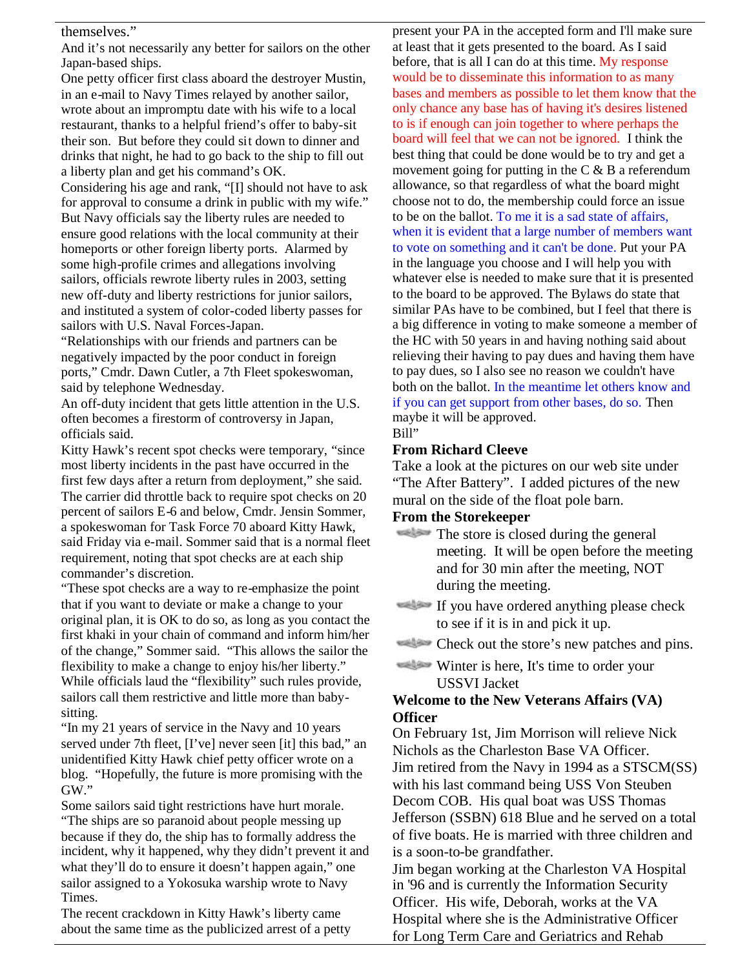#### themselves."

And it's not necessarily any better for sailors on the other Japan-based ships.

One petty officer first class aboard the destroyer Mustin, in an e-mail to Navy Times relayed by another sailor, wrote about an impromptu date with his wife to a local restaurant, thanks to a helpful friend's offer to baby-sit their son. But before they could sit down to dinner and drinks that night, he had to go back to the ship to fill out a liberty plan and get his command's OK.

Considering his age and rank, "[I] should not have to ask for approval to consume a drink in public with my wife." But Navy officials say the liberty rules are needed to ensure good relations with the local community at their homeports or other foreign liberty ports. Alarmed by some high-profile crimes and allegations involving sailors, officials rewrote liberty rules in 2003, setting new off-duty and liberty restrictions for junior sailors, and instituted a system of color-coded liberty passes for sailors with U.S. Naval Forces-Japan.

"Relationships with our friends and partners can be negatively impacted by the poor conduct in foreign ports," Cmdr. Dawn Cutler, a 7th Fleet spokeswoman, said by telephone Wednesday.

An off-duty incident that gets little attention in the U.S. often becomes a firestorm of controversy in Japan, officials said.

Kitty Hawk's recent spot checks were temporary, "since most liberty incidents in the past have occurred in the first few days after a return from deployment," she said. The carrier did throttle back to require spot checks on 20 percent of sailors E-6 and below, Cmdr. Jensin Sommer, a spokeswoman for Task Force 70 aboard Kitty Hawk, said Friday via e-mail. Sommer said that is a normal fleet requirement, noting that spot checks are at each ship commander's discretion.

"These spot checks are a way to re-emphasize the point that if you want to deviate or make a change to your original plan, it is OK to do so, as long as you contact the first khaki in your chain of command and inform him/her of the change," Sommer said. "This allows the sailor the flexibility to make a change to enjoy his/her liberty." While officials laud the "flexibility" such rules provide, sailors call them restrictive and little more than babysitting.

"In my 21 years of service in the Navy and 10 years served under 7th fleet, [I've] never seen [it] this bad," an unidentified Kitty Hawk chief petty officer wrote on a blog. "Hopefully, the future is more promising with the GW."

Some sailors said tight restrictions have hurt morale. "The ships are so paranoid about people messing up because if they do, the ship has to formally address the incident, why it happened, why they didn't prevent it and what they'll do to ensure it doesn't happen again," one sailor assigned to a Yokosuka warship wrote to Navy Times.

The recent crackdown in Kitty Hawk's liberty came about the same time as the publicized arrest of a petty

present your PA in the accepted form and I'll make sure at least that it gets presented to the board. As I said before, that is all I can do at this time. My response would be to disseminate this information to as many bases and members as possible to let them know that the only chance any base has of having it's desires listened to is if enough can join together to where perhaps the board will feel that we can not be ignored. I think the best thing that could be done would be to try and get a movement going for putting in the  $C & B$  a referendum allowance, so that regardless of what the board might choose not to do, the membership could force an issue to be on the ballot. To me it is a sad state of affairs, when it is evident that a large number of members want to vote on something and it can't be done. Put your PA in the language you choose and I will help you with whatever else is needed to make sure that it is presented to the board to be approved. The Bylaws do state that similar PAs have to be combined, but I feel that there is a big difference in voting to make someone a member of the HC with 50 years in and having nothing said about relieving their having to pay dues and having them have to pay dues, so I also see no reason we couldn't have both on the ballot. In the meantime let others know and if you can get support from other bases, do so. Then maybe it will be approved. Bill"

# **From Richard Cleeve**

Take a look at the pictures on our web site under "The After Battery". I added pictures of the new mural on the side of the float pole barn.

#### **From the Storekeeper**

- The store is closed during the general meeting. It will be open before the meeting and for 30 min after the meeting, NOT during the meeting.
- If you have ordered anything please check to see if it is in and pick it up.
- Check out the store's new patches and pins.

## Winter is here, It's time to order your USSVI Jacket

# **Welcome to the New Veterans Affairs (VA) Officer**

On February 1st, Jim Morrison will relieve Nick Nichols as the Charleston Base VA Officer. Jim retired from the Navy in 1994 as a STSCM(SS) with his last command being USS Von Steuben Decom COB. His qual boat was USS Thomas Jefferson (SSBN) 618 Blue and he served on a total of five boats. He is married with three children and is a soon-to-be grandfather.

Jim began working at the Charleston VA Hospital in '96 and is currently the Information Security Officer. His wife, Deborah, works at the VA Hospital where she is the Administrative Officer for Long Term Care and Geriatrics and Rehab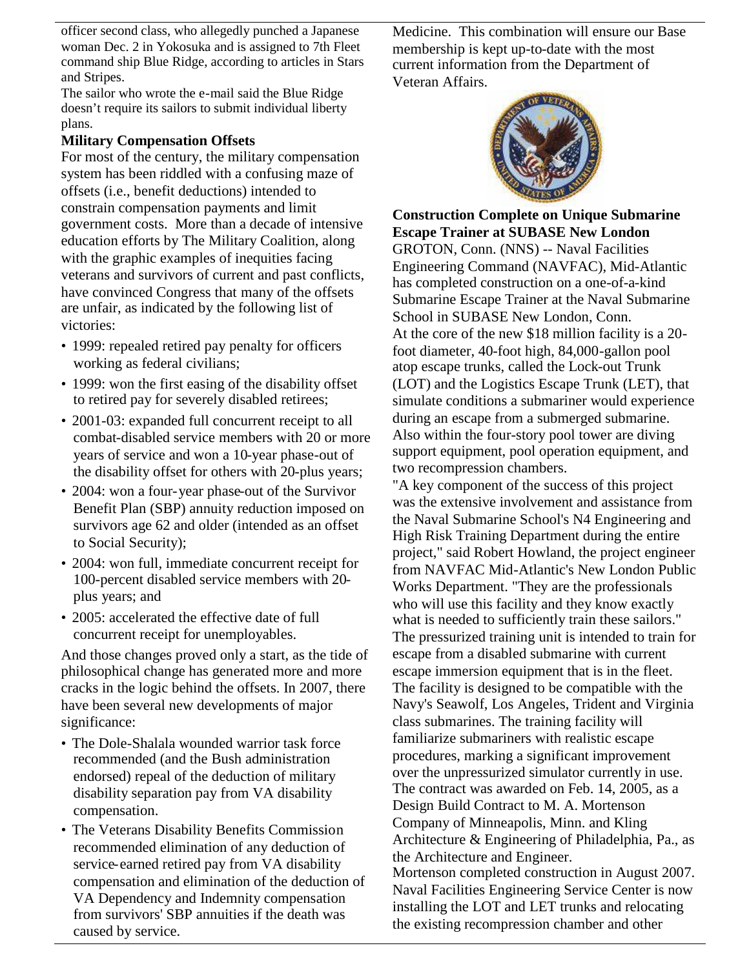officer second class, who allegedly punched a Japanese woman Dec. 2 in Yokosuka and is assigned to 7th Fleet command ship Blue Ridge, according to articles in Stars and Stripes.

The sailor who wrote the e-mail said the Blue Ridge doesn't require its sailors to submit individual liberty plans.

## **Military Compensation Offsets**

For most of the century, the military compensation system has been riddled with a confusing maze of offsets (i.e., benefit deductions) intended to constrain compensation payments and limit government costs. More than a decade of intensive education efforts by The Military Coalition, along with the graphic examples of inequities facing veterans and survivors of current and past conflicts, have convinced Congress that many of the offsets are unfair, as indicated by the following list of victories:

- 1999: repealed retired pay penalty for officers working as federal civilians;
- 1999: won the first easing of the disability offset to retired pay for severely disabled retirees;
- 2001-03: expanded full concurrent receipt to all combat-disabled service members with 20 or more years of service and won a 10-year phase-out of the disability offset for others with 20-plus years;
- 2004: won a four-year phase-out of the Survivor Benefit Plan (SBP) annuity reduction imposed on survivors age 62 and older (intended as an offset to Social Security);
- 2004: won full, immediate concurrent receipt for 100-percent disabled service members with 20 plus years; and
- 2005: accelerated the effective date of full concurrent receipt for unemployables.

And those changes proved only a start, as the tide of philosophical change has generated more and more cracks in the logic behind the offsets. In 2007, there have been several new developments of major significance:

- The Dole-Shalala wounded warrior task force recommended (and the Bush administration endorsed) repeal of the deduction of military disability separation pay from VA disability compensation.
- The Veterans Disability Benefits Commission recommended elimination of any deduction of service-earned retired pay from VA disability compensation and elimination of the deduction of VA Dependency and Indemnity compensation from survivors' SBP annuities if the death was caused by service.

Medicine. This combination will ensure our Base membership is kept up-to-date with the most current information from the Department of Veteran Affairs.



# **Construction Complete on Unique Submarine Escape Trainer at SUBASE New London**

GROTON, Conn. (NNS) -- Naval Facilities Engineering Command (NAVFAC), Mid-Atlantic has completed construction on a one-of-a-kind Submarine Escape Trainer at the Naval Submarine School in SUBASE New London, Conn. At the core of the new \$18 million facility is a 20 foot diameter, 40-foot high, 84,000-gallon pool atop escape trunks, called the Lock-out Trunk (LOT) and the Logistics Escape Trunk (LET), that simulate conditions a submariner would experience during an escape from a submerged submarine. Also within the four-story pool tower are diving support equipment, pool operation equipment, and two recompression chambers.

"A key component of the success of this project was the extensive involvement and assistance from the Naval Submarine School's N4 Engineering and High Risk Training Department during the entire project," said Robert Howland, the project engineer from NAVFAC Mid-Atlantic's New London Public Works Department. "They are the professionals who will use this facility and they know exactly what is needed to sufficiently train these sailors." The pressurized training unit is intended to train for escape from a disabled submarine with current escape immersion equipment that is in the fleet. The facility is designed to be compatible with the Navy's Seawolf, Los Angeles, Trident and Virginia class submarines. The training facility will familiarize submariners with realistic escape procedures, marking a significant improvement over the unpressurized simulator currently in use. The contract was awarded on Feb. 14, 2005, as a Design Build Contract to M. A. Mortenson Company of Minneapolis, Minn. and Kling Architecture & Engineering of Philadelphia, Pa., as the Architecture and Engineer. Mortenson completed construction in August 2007. Naval Facilities Engineering Service Center is now installing the LOT and LET trunks and relocating the existing recompression chamber and other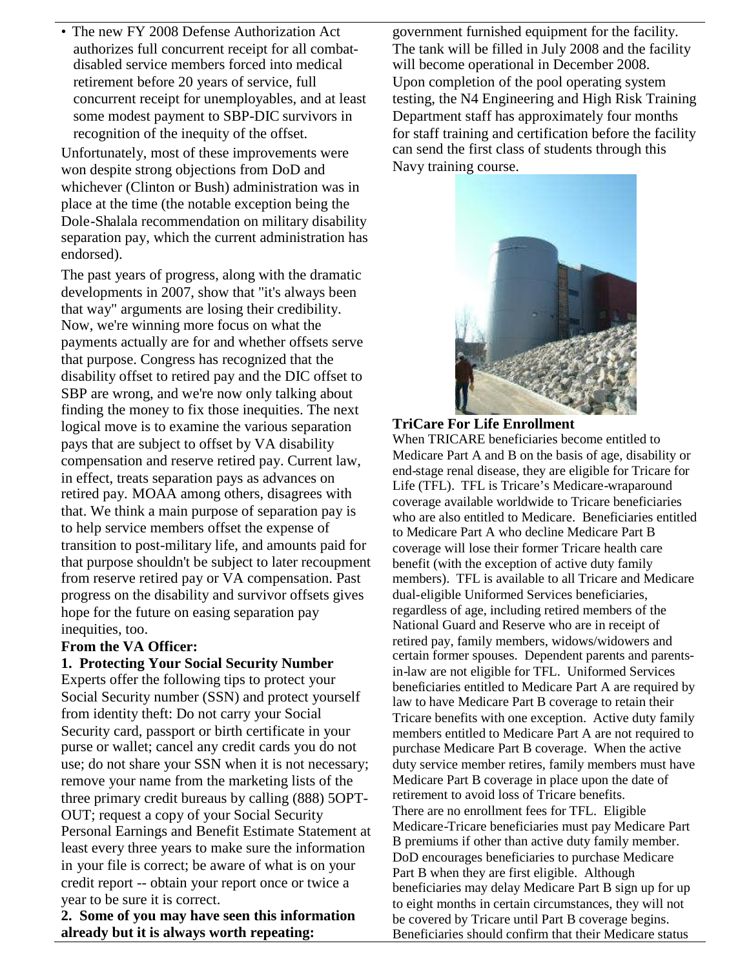• The new FY 2008 Defense Authorization Act authorizes full concurrent receipt for all combatdisabled service members forced into medical retirement before 20 years of service, full concurrent receipt for unemployables, and at least some modest payment to SBP-DIC survivors in recognition of the inequity of the offset.

Unfortunately, most of these improvements were won despite strong objections from DoD and whichever (Clinton or Bush) administration was in place at the time (the notable exception being the Dole-Shalala recommendation on military disability separation pay, which the current administration has endorsed).

The past years of progress, along with the dramatic developments in 2007, show that "it's always been that way" arguments are losing their credibility. Now, we're winning more focus on what the payments actually are for and whether offsets serve that purpose. Congress has recognized that the disability offset to retired pay and the DIC offset to SBP are wrong, and we're now only talking about finding the money to fix those inequities. The next logical move is to examine the various separation pays that are subject to offset by VA disability compensation and reserve retired pay. Current law, in effect, treats separation pays as advances on retired pay. MOAA among others, disagrees with that. We think a main purpose of separation pay is to help service members offset the expense of transition to post-military life, and amounts paid for that purpose shouldn't be subject to later recoupment from reserve retired pay or VA compensation. Past progress on the disability and survivor offsets gives hope for the future on easing separation pay inequities, too.

#### **From the VA Officer:**

#### **1. Protecting Your Social Security Number**

Experts offer the following tips to protect your Social Security number (SSN) and protect yourself from identity theft: Do not carry your Social Security card, passport or birth certificate in your purse or wallet; cancel any credit cards you do not use; do not share your SSN when it is not necessary; remove your name from the marketing lists of the three primary credit bureaus by calling (888) 5OPT-OUT; request a copy of your Social Security Personal Earnings and Benefit Estimate Statement at least every three years to make sure the information in your file is correct; be aware of what is on your credit report -- obtain your report once or twice a year to be sure it is correct.

**2. Some of you may have seen this information already but it is always worth repeating:**

government furnished equipment for the facility. The tank will be filled in July 2008 and the facility will become operational in December 2008. Upon completion of the pool operating system testing, the N4 Engineering and High Risk Training Department staff has approximately four months for staff training and certification before the facility can send the first class of students through this Navy training course.



### **TriCare For Life Enrollment**

When TRICARE beneficiaries become entitled to Medicare Part A and B on the basis of age, disability or end-stage renal disease, they are eligible for Tricare for Life (TFL). TFL is Tricare's Medicare-wraparound coverage available worldwide to Tricare beneficiaries who are also entitled to Medicare. Beneficiaries entitled to Medicare Part A who decline Medicare Part B coverage will lose their former Tricare health care benefit (with the exception of active duty family members). TFL is available to all Tricare and Medicare dual-eligible Uniformed Services beneficiaries, regardless of age, including retired members of the National Guard and Reserve who are in receipt of retired pay, family members, widows/widowers and certain former spouses. Dependent parents and parentsin-law are not eligible for TFL. Uniformed Services beneficiaries entitled to Medicare Part A are required by law to have Medicare Part B coverage to retain their Tricare benefits with one exception. Active duty family members entitled to Medicare Part A are not required to purchase Medicare Part B coverage. When the active duty service member retires, family members must have Medicare Part B coverage in place upon the date of retirement to avoid loss of Tricare benefits. There are no enrollment fees for TFL. Eligible Medicare-Tricare beneficiaries must pay Medicare Part B premiums if other than active duty family member. DoD encourages beneficiaries to purchase Medicare Part B when they are first eligible. Although beneficiaries may delay Medicare Part B sign up for up to eight months in certain circumstances, they will not be covered by Tricare until Part B coverage begins. Beneficiaries should confirm that their Medicare status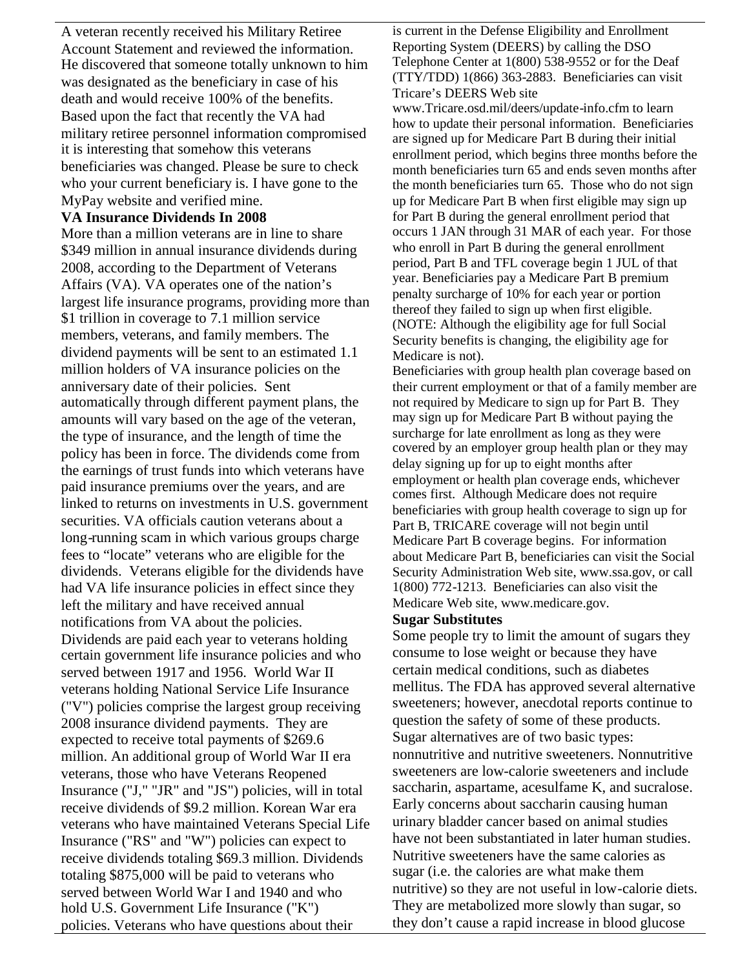A veteran recently received his Military Retiree Account Statement and reviewed the information. He discovered that someone totally unknown to him was designated as the beneficiary in case of his death and would receive 100% of the benefits. Based upon the fact that recently the VA had military retiree personnel information compromised it is interesting that somehow this veterans beneficiaries was changed. Please be sure to check who your current beneficiary is. I have gone to the MyPay website and verified mine.

#### **VA Insurance Dividends In 2008**

More than a million veterans are in line to share \$349 million in annual insurance dividends during 2008, according to the Department of Veterans Affairs (VA). VA operates one of the nation's largest life insurance programs, providing more than \$1 trillion in coverage to 7.1 million service members, veterans, and family members. The dividend payments will be sent to an estimated 1.1 million holders of VA insurance policies on the anniversary date of their policies. Sent automatically through different payment plans, the amounts will vary based on the age of the veteran, the type of insurance, and the length of time the policy has been in force. The dividends come from the earnings of trust funds into which veterans have paid insurance premiums over the years, and are linked to returns on investments in U.S. government securities. VA officials caution veterans about a long-running scam in which various groups charge fees to "locate" veterans who are eligible for the dividends. Veterans eligible for the dividends have had VA life insurance policies in effect since they left the military and have received annual notifications from VA about the policies. Dividends are paid each year to veterans holding certain government life insurance policies and who served between 1917 and 1956. World War II veterans holding National Service Life Insurance ("V") policies comprise the largest group receiving 2008 insurance dividend payments. They are expected to receive total payments of \$269.6 million. An additional group of World War II era veterans, those who have Veterans Reopened Insurance ("J," "JR" and "JS") policies, will in total receive dividends of \$9.2 million. Korean War era veterans who have maintained Veterans Special Life Insurance ("RS" and "W") policies can expect to receive dividends totaling \$69.3 million. Dividends totaling \$875,000 will be paid to veterans who served between World War I and 1940 and who hold U.S. Government Life Insurance ("K") policies. Veterans who have questions about their

is current in the Defense Eligibility and Enrollment Reporting System (DEERS) by calling the DSO Telephone Center at 1(800) 538-9552 or for the Deaf (TTY/TDD) 1(866) 363-2883. Beneficiaries can visit Tricare's DEERS Web site

www.Tricare.osd.mil/deers/update-info.cfm to learn how to update their personal information. Beneficiaries are signed up for Medicare Part B during their initial enrollment period, which begins three months before the month beneficiaries turn 65 and ends seven months after the month beneficiaries turn 65. Those who do not sign up for Medicare Part B when first eligible may sign up for Part B during the general enrollment period that occurs 1 JAN through 31 MAR of each year. For those who enroll in Part B during the general enrollment period, Part B and TFL coverage begin 1 JUL of that year. Beneficiaries pay a Medicare Part B premium penalty surcharge of 10% for each year or portion thereof they failed to sign up when first eligible. (NOTE: Although the eligibility age for full Social Security benefits is changing, the eligibility age for Medicare is not).

Beneficiaries with group health plan coverage based on their current employment or that of a family member are not required by Medicare to sign up for Part B. They may sign up for Medicare Part B without paying the surcharge for late enrollment as long as they were covered by an employer group health plan or they may delay signing up for up to eight months after employment or health plan coverage ends, whichever comes first. Although Medicare does not require beneficiaries with group health coverage to sign up for Part B, TRICARE coverage will not begin until Medicare Part B coverage begins. For information about Medicare Part B, beneficiaries can visit the Social Security Administration Web site, www.ssa.gov, or call 1(800) 772-1213. Beneficiaries can also visit the Medicare Web site, www.medicare.gov.

#### **Sugar Substitutes**

Some people try to limit the amount of sugars they consume to lose weight or because they have certain medical conditions, such as diabetes mellitus. The FDA has approved several alternative sweeteners; however, anecdotal reports continue to question the safety of some of these products. Sugar alternatives are of two basic types: nonnutritive and nutritive sweeteners. Nonnutritive sweeteners are low-calorie sweeteners and include saccharin, aspartame, acesulfame K, and sucralose. Early concerns about saccharin causing human urinary bladder cancer based on animal studies have not been substantiated in later human studies. Nutritive sweeteners have the same calories as sugar (i.e. the calories are what make them nutritive) so they are not useful in low-calorie diets. They are metabolized more slowly than sugar, so they don't cause a rapid increase in blood glucose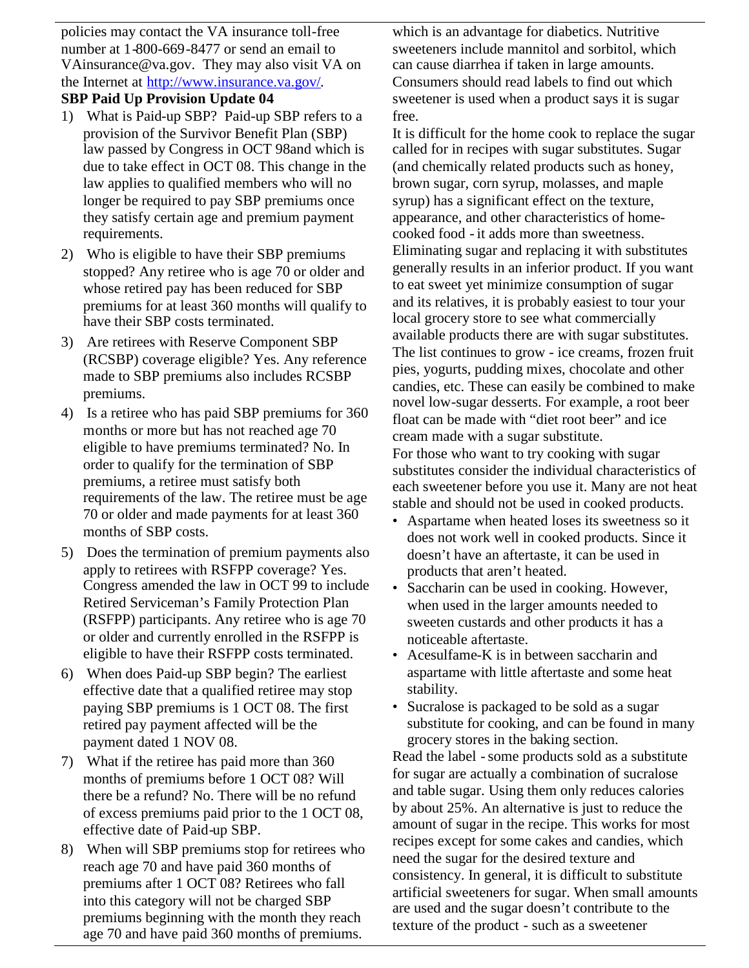policies may contact the VA insurance toll-free number at 1-800-669-8477 or send an email to VAinsurance@va.gov. They may also visit VA on the Internet at http://www.insurance.va.gov/.

## **SBP Paid Up Provision Update 04**

- 1) What is Paid-up SBP? Paid-up SBP refers to a provision of the Survivor Benefit Plan (SBP) law passed by Congress in OCT 98and which is due to take effect in OCT 08. This change in the law applies to qualified members who will no longer be required to pay SBP premiums once they satisfy certain age and premium payment requirements.
- 2) Who is eligible to have their SBP premiums stopped? Any retiree who is age 70 or older and whose retired pay has been reduced for SBP premiums for at least 360 months will qualify to have their SBP costs terminated.
- 3) Are retirees with Reserve Component SBP (RCSBP) coverage eligible? Yes. Any reference made to SBP premiums also includes RCSBP premiums.
- 4) Is a retiree who has paid SBP premiums for 360 months or more but has not reached age 70 eligible to have premiums terminated? No. In order to qualify for the termination of SBP premiums, a retiree must satisfy both requirements of the law. The retiree must be age 70 or older and made payments for at least 360 months of SBP costs.
- 5) Does the termination of premium payments also apply to retirees with RSFPP coverage? Yes. Congress amended the law in OCT 99 to include Retired Serviceman's Family Protection Plan (RSFPP) participants. Any retiree who is age 70 or older and currently enrolled in the RSFPP is eligible to have their RSFPP costs terminated.
- 6) When does Paid-up SBP begin? The earliest effective date that a qualified retiree may stop paying SBP premiums is 1 OCT 08. The first retired pay payment affected will be the payment dated 1 NOV 08.
- 7) What if the retiree has paid more than 360 months of premiums before 1 OCT 08? Will there be a refund? No. There will be no refund of excess premiums paid prior to the 1 OCT 08, effective date of Paid-up SBP.
- 8) When will SBP premiums stop for retirees who reach age 70 and have paid 360 months of premiums after 1 OCT 08? Retirees who fall into this category will not be charged SBP premiums beginning with the month they reach age 70 and have paid 360 months of premiums.

which is an advantage for diabetics. Nutritive sweeteners include mannitol and sorbitol, which can cause diarrhea if taken in large amounts. Consumers should read labels to find out which sweetener is used when a product says it is sugar free.

It is difficult for the home cook to replace the sugar called for in recipes with sugar substitutes. Sugar (and chemically related products such as honey, brown sugar, corn syrup, molasses, and maple syrup) has a significant effect on the texture, appearance, and other characteristics of homecooked food - it adds more than sweetness. Eliminating sugar and replacing it with substitutes generally results in an inferior product. If you want to eat sweet yet minimize consumption of sugar and its relatives, it is probably easiest to tour your local grocery store to see what commercially available products there are with sugar substitutes. The list continues to grow - ice creams, frozen fruit pies, yogurts, pudding mixes, chocolate and other candies, etc. These can easily be combined to make novel low-sugar desserts. For example, a root beer float can be made with "diet root beer" and ice cream made with a sugar substitute. For those who want to try cooking with sugar

substitutes consider the individual characteristics of each sweetener before you use it. Many are not heat stable and should not be used in cooked products.

- Aspartame when heated loses its sweetness so it does not work well in cooked products. Since it doesn't have an aftertaste, it can be used in products that aren't heated.
- Saccharin can be used in cooking. However, when used in the larger amounts needed to sweeten custards and other products it has a noticeable aftertaste.
- Acesulfame-K is in between saccharin and aspartame with little aftertaste and some heat stability.
- Sucralose is packaged to be sold as a sugar substitute for cooking, and can be found in many grocery stores in the baking section.

Read the label - some products sold as a substitute for sugar are actually a combination of sucralose and table sugar. Using them only reduces calories by about 25%. An alternative is just to reduce the amount of sugar in the recipe. This works for most recipes except for some cakes and candies, which need the sugar for the desired texture and consistency. In general, it is difficult to substitute artificial sweeteners for sugar. When small amounts are used and the sugar doesn't contribute to the texture of the product - such as a sweetener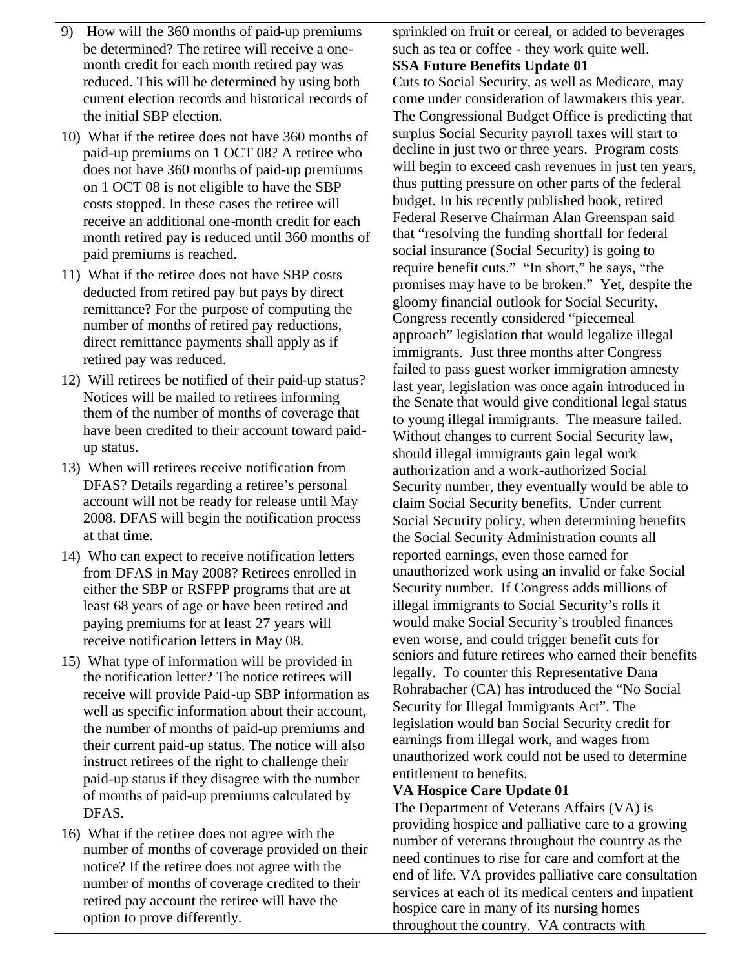- 9) How will the 360 months of paid-up premiums be determined? The retiree will receive a onemonth credit for each month retired pay was reduced. This will be determined by using both current election records and historical records of the initial SBP election.
- 10) What if the retiree does not have 360 months of paid-up premiums on 1 OCT 08? A retiree who does not have 360 months of paid-up premiums on 1 OCT 08 is not eligible to have the SBP costs stopped. In these cases the retiree will receive an additional one-month credit for each month retired pay is reduced until 360 months of paid premiums is reached.
- 11) What if the retiree does not have SBP costs deducted from retired pay but pays by direct remittance? For the purpose of computing the number of months of retired pay reductions, direct remittance payments shall apply as if retired pay was reduced.
- 12) Will retirees be notified of their paid-up status? Notices will be mailed to retirees informing them of the number of months of coverage that have been credited to their account toward paidup status.
- 13) When will retirees receive notification from DFAS? Details regarding a retiree's personal account will not be ready for release until May 2008. DFAS will begin the notification process at that time.
- 14) Who can expect to receive notification letters from DFAS in May 2008? Retirees enrolled in either the SBP or RSFPP programs that are at least 68 years of age or have been retired and paying premiums for at least 27 years will receive notification letters in May 08.
- 15) What type of information will be provided in the notification letter? The notice retirees will receive will provide Paid-up SBP information as well as specific information about their account, the number of months of paid-up premiums and their current paid-up status. The notice will also instruct retirees of the right to challenge their paid-up status if they disagree with the number of months of paid-up premiums calculated by DFAS.
- 16) What if the retiree does not agree with the number of months of coverage provided on their notice? If the retiree does not agree with the number of months of coverage credited to their retired pay account the retiree will have the option to prove differently.

sprinkled on fruit or cereal, or added to beverages such as tea or coffee - they work quite well.

# **SSA Future Benefits Update 01**

Cuts to Social Security, as well as Medicare, may come under consideration of lawmakers this year. The Congressional Budget Office is predicting that surplus Social Security payroll taxes will start to decline in just two or three years. Program costs will begin to exceed cash revenues in just ten years, thus putting pressure on other parts of the federal budget. In his recently published book, retired Federal Reserve Chairman Alan Greenspan said that "resolving the funding shortfall for federal social insurance (Social Security) is going to require benefit cuts." "In short," he says, "the promises may have to be broken." Yet, despite the gloomy financial outlook for Social Security, Congress recently considered "piecemeal approach" legislation that would legalize illegal immigrants. Just three months after Congress failed to pass guest worker immigration amnesty last year, legislation was once again introduced in the Senate that would give conditional legal status to young illegal immigrants. The measure failed. Without changes to current Social Security law, should illegal immigrants gain legal work authorization and a work-authorized Social Security number, they eventually would be able to claim Social Security benefits. Under current Social Security policy, when determining benefits the Social Security Administration counts all reported earnings, even those earned for unauthorized work using an invalid or fake Social Security number. If Congress adds millions of illegal immigrants to Social Security's rolls it would make Social Security's troubled finances even worse, and could trigger benefit cuts for seniors and future retirees who earned their benefits legally. To counter this Representative Dana Rohrabacher (CA) has introduced the "No Social Security for Illegal Immigrants Act". The legislation would ban Social Security credit for earnings from illegal work, and wages from unauthorized work could not be used to determine entitlement to benefits.

# **VA Hospice Care Update 01**

The Department of Veterans Affairs (VA) is providing hospice and palliative care to a growing number of veterans throughout the country as the need continues to rise for care and comfort at the end of life. VA provides palliative care consultation services at each of its medical centers and inpatient hospice care in many of its nursing homes throughout the country. VA contracts with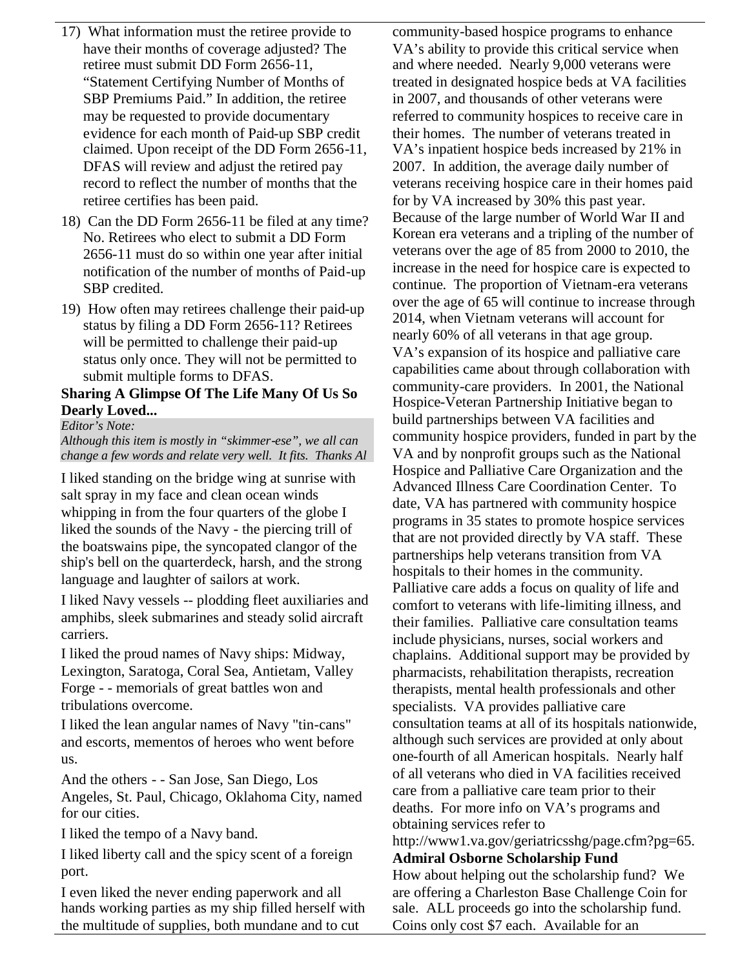- 17) What information must the retiree provide to have their months of coverage adjusted? The retiree must submit DD Form 2656-11, "Statement Certifying Number of Months of SBP Premiums Paid." In addition, the retiree may be requested to provide documentary evidence for each month of Paid-up SBP credit claimed. Upon receipt of the DD Form 2656-11, DFAS will review and adjust the retired pay record to reflect the number of months that the retiree certifies has been paid.
- 18) Can the DD Form 2656-11 be filed at any time? No. Retirees who elect to submit a DD Form 2656-11 must do so within one year after initial notification of the number of months of Paid-up SBP credited.
- 19) How often may retirees challenge their paid-up status by filing a DD Form 2656-11? Retirees will be permitted to challenge their paid-up status only once. They will not be permitted to submit multiple forms to DFAS.

#### **Sharing A Glimpse Of The Life Many Of Us So Dearly Loved...**

*Editor's Note:*

*Although this item is mostly in "skimmer-ese", we all can change a few words and relate very well. It fits. Thanks Al*

I liked standing on the bridge wing at sunrise with salt spray in my face and clean ocean winds whipping in from the four quarters of the globe I liked the sounds of the Navy - the piercing trill of the boatswains pipe, the syncopated clangor of the ship's bell on the quarterdeck, harsh, and the strong language and laughter of sailors at work.

I liked Navy vessels -- plodding fleet auxiliaries and amphibs, sleek submarines and steady solid aircraft carriers.

I liked the proud names of Navy ships: Midway, Lexington, Saratoga, Coral Sea, Antietam, Valley Forge - - memorials of great battles won and tribulations overcome.

I liked the lean angular names of Navy "tin-cans" and escorts, mementos of heroes who went before us.

And the others - - San Jose, San Diego, Los Angeles, St. Paul, Chicago, Oklahoma City, named for our cities.

I liked the tempo of a Navy band.

I liked liberty call and the spicy scent of a foreign port.

I even liked the never ending paperwork and all hands working parties as my ship filled herself with the multitude of supplies, both mundane and to cut

community-based hospice programs to enhance VA's ability to provide this critical service when and where needed. Nearly 9,000 veterans were treated in designated hospice beds at VA facilities in 2007, and thousands of other veterans were referred to community hospices to receive care in their homes. The number of veterans treated in VA's inpatient hospice beds increased by 21% in 2007. In addition, the average daily number of veterans receiving hospice care in their homes paid for by VA increased by 30% this past year. Because of the large number of World War II and Korean era veterans and a tripling of the number of veterans over the age of 85 from 2000 to 2010, the increase in the need for hospice care is expected to continue. The proportion of Vietnam-era veterans over the age of 65 will continue to increase through 2014, when Vietnam veterans will account for nearly 60% of all veterans in that age group. VA's expansion of its hospice and palliative care capabilities came about through collaboration with community-care providers. In 2001, the National Hospice-Veteran Partnership Initiative began to build partnerships between VA facilities and community hospice providers, funded in part by the VA and by nonprofit groups such as the National Hospice and Palliative Care Organization and the Advanced Illness Care Coordination Center. To date, VA has partnered with community hospice programs in 35 states to promote hospice services that are not provided directly by VA staff. These partnerships help veterans transition from VA hospitals to their homes in the community. Palliative care adds a focus on quality of life and comfort to veterans with life-limiting illness, and their families. Palliative care consultation teams include physicians, nurses, social workers and chaplains. Additional support may be provided by pharmacists, rehabilitation therapists, recreation therapists, mental health professionals and other specialists. VA provides palliative care consultation teams at all of its hospitals nationwide, although such services are provided at only about one-fourth of all American hospitals. Nearly half of all veterans who died in VA facilities received care from a palliative care team prior to their deaths. For more info on VA's programs and obtaining services refer to http://www1.va.gov/geriatricsshg/page.cfm?pg=65.

**Admiral Osborne Scholarship Fund** How about helping out the scholarship fund? We are offering a Charleston Base Challenge Coin for sale. ALL proceeds go into the scholarship fund. Coins only cost \$7 each. Available for an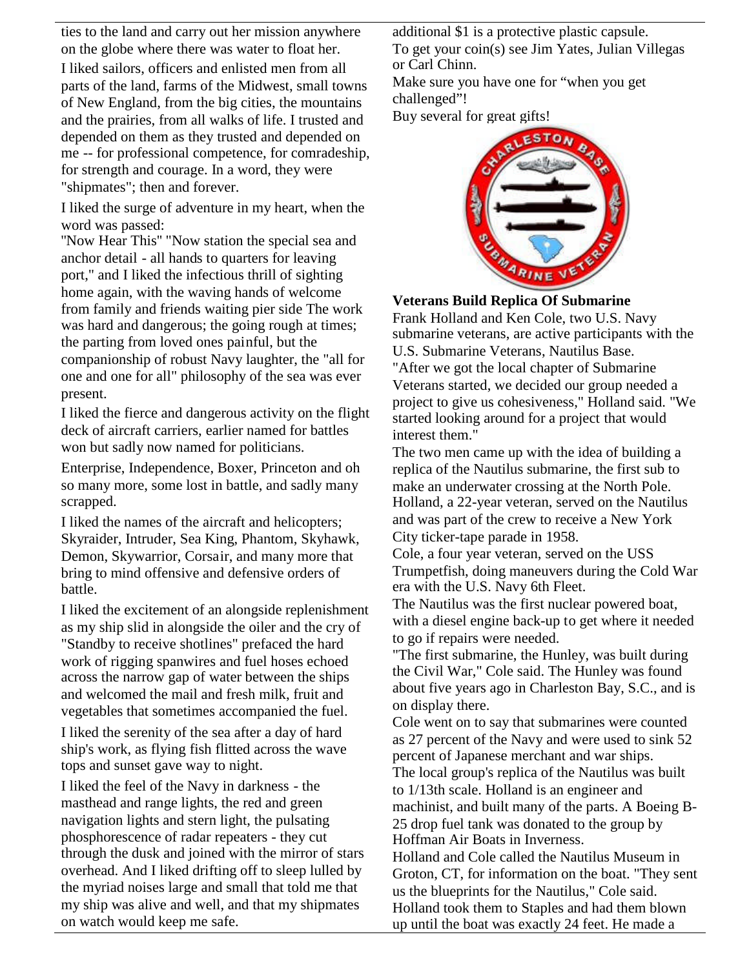ties to the land and carry out her mission anywhere on the globe where there was water to float her. I liked sailors, officers and enlisted men from all parts of the land, farms of the Midwest, small towns of New England, from the big cities, the mountains and the prairies, from all walks of life. I trusted and depended on them as they trusted and depended on me -- for professional competence, for comradeship, for strength and courage. In a word, they were "shipmates"; then and forever.

I liked the surge of adventure in my heart, when the word was passed:

''Now Hear This'' "Now station the special sea and anchor detail - all hands to quarters for leaving port," and I liked the infectious thrill of sighting home again, with the waving hands of welcome from family and friends waiting pier side The work was hard and dangerous; the going rough at times; the parting from loved ones painful, but the companionship of robust Navy laughter, the "all for one and one for all" philosophy of the sea was ever present.

I liked the fierce and dangerous activity on the flight deck of aircraft carriers, earlier named for battles won but sadly now named for politicians.

Enterprise, Independence, Boxer, Princeton and oh so many more, some lost in battle, and sadly many scrapped.

I liked the names of the aircraft and helicopters; Skyraider, Intruder, Sea King, Phantom, Skyhawk, Demon, Skywarrior, Corsair, and many more that bring to mind offensive and defensive orders of battle.

I liked the excitement of an alongside replenishment as my ship slid in alongside the oiler and the cry of "Standby to receive shotlines" prefaced the hard work of rigging spanwires and fuel hoses echoed across the narrow gap of water between the ships and welcomed the mail and fresh milk, fruit and vegetables that sometimes accompanied the fuel.

I liked the serenity of the sea after a day of hard ship's work, as flying fish flitted across the wave tops and sunset gave way to night.

I liked the feel of the Navy in darkness - the masthead and range lights, the red and green navigation lights and stern light, the pulsating phosphorescence of radar repeaters - they cut through the dusk and joined with the mirror of stars overhead. And I liked drifting off to sleep lulled by the myriad noises large and small that told me that my ship was alive and well, and that my shipmates on watch would keep me safe.

additional \$1 is a protective plastic capsule. To get your coin(s) see Jim Yates, Julian Villegas or Carl Chinn.

Make sure you have one for "when you get challenged"!

Buy several for great gifts!



**Veterans Build Replica Of Submarine**

Frank Holland and Ken Cole, two U.S. Navy submarine veterans, are active participants with the U.S. Submarine Veterans, Nautilus Base. "After we got the local chapter of Submarine Veterans started, we decided our group needed a project to give us cohesiveness," Holland said. "We started looking around for a project that would interest them."

The two men came up with the idea of building a replica of the Nautilus submarine, the first sub to make an underwater crossing at the North Pole. Holland, a 22-year veteran, served on the Nautilus and was part of the crew to receive a New York City ticker-tape parade in 1958.

Cole, a four year veteran, served on the USS Trumpetfish, doing maneuvers during the Cold War era with the U.S. Navy 6th Fleet.

The Nautilus was the first nuclear powered boat, with a diesel engine back-up to get where it needed to go if repairs were needed.

"The first submarine, the Hunley, was built during the Civil War," Cole said. The Hunley was found about five years ago in Charleston Bay, S.C., and is on display there.

Cole went on to say that submarines were counted as 27 percent of the Navy and were used to sink 52 percent of Japanese merchant and war ships. The local group's replica of the Nautilus was built to 1/13th scale. Holland is an engineer and

machinist, and built many of the parts. A Boeing B-25 drop fuel tank was donated to the group by Hoffman Air Boats in Inverness.

Holland and Cole called the Nautilus Museum in Groton, CT, for information on the boat. "They sent us the blueprints for the Nautilus," Cole said. Holland took them to Staples and had them blown up until the boat was exactly 24 feet. He made a